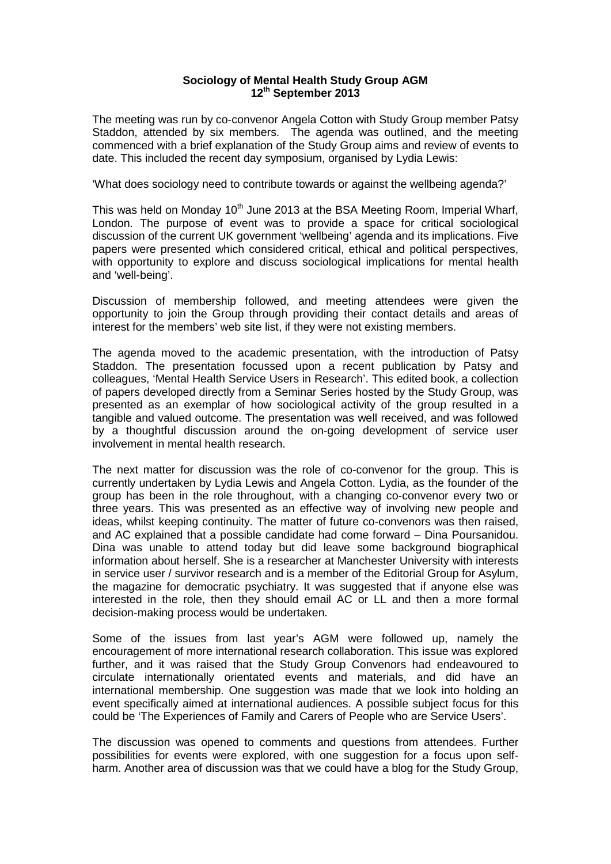## **Sociology of Mental Health Study Group AGM 12th September 2013**

The meeting was run by co-convenor Angela Cotton with Study Group member Patsy Staddon, attended by six members. The agenda was outlined, and the meeting commenced with a brief explanation of the Study Group aims and review of events to date. This included the recent day symposium, organised by Lydia Lewis:

'What does sociology need to contribute towards or against the wellbeing agenda?'

This was held on Monday  $10<sup>th</sup>$  June 2013 at the BSA Meeting Room, Imperial Wharf, London. The purpose of event was to provide a space for critical sociological discussion of the current UK government 'wellbeing' agenda and its implications. Five papers were presented which considered critical, ethical and political perspectives, with opportunity to explore and discuss sociological implications for mental health and 'well-being'.

Discussion of membership followed, and meeting attendees were given the opportunity to join the Group through providing their contact details and areas of interest for the members' web site list, if they were not existing members.

The agenda moved to the academic presentation, with the introduction of Patsy Staddon. The presentation focussed upon a recent publication by Patsy and colleagues, 'Mental Health Service Users in Research'. This edited book, a collection of papers developed directly from a Seminar Series hosted by the Study Group, was presented as an exemplar of how sociological activity of the group resulted in a tangible and valued outcome. The presentation was well received, and was followed by a thoughtful discussion around the on-going development of service user involvement in mental health research.

The next matter for discussion was the role of co-convenor for the group. This is currently undertaken by Lydia Lewis and Angela Cotton. Lydia, as the founder of the group has been in the role throughout, with a changing co-convenor every two or three years. This was presented as an effective way of involving new people and ideas, whilst keeping continuity. The matter of future co-convenors was then raised, and AC explained that a possible candidate had come forward – Dina Poursanidou. Dina was unable to attend today but did leave some background biographical information about herself. She is a researcher at Manchester University with interests in service user / survivor research and is a member of the Editorial Group for Asylum, the magazine for democratic psychiatry. It was suggested that if anyone else was interested in the role, then they should email AC or LL and then a more formal decision-making process would be undertaken.

Some of the issues from last year's AGM were followed up, namely the encouragement of more international research collaboration. This issue was explored further, and it was raised that the Study Group Convenors had endeavoured to circulate internationally orientated events and materials, and did have an international membership. One suggestion was made that we look into holding an event specifically aimed at international audiences. A possible subject focus for this could be 'The Experiences of Family and Carers of People who are Service Users'.

The discussion was opened to comments and questions from attendees. Further possibilities for events were explored, with one suggestion for a focus upon selfharm. Another area of discussion was that we could have a blog for the Study Group,